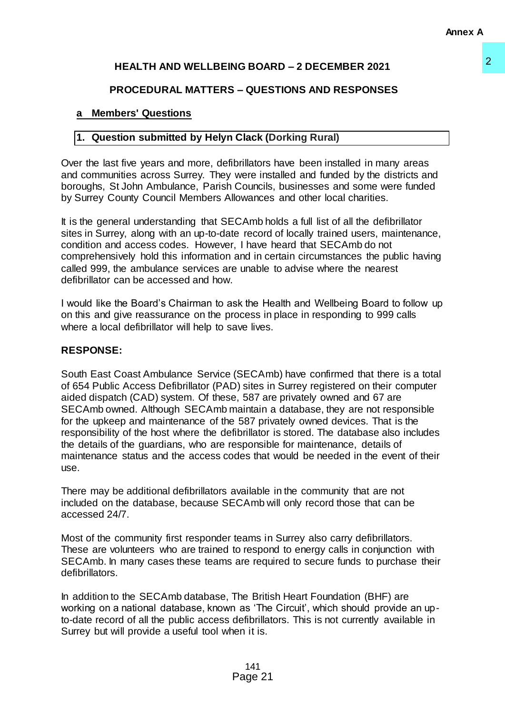# **HEALTH AND WELLBEING BOARD – 2 DECEMBER 2021**

## **PROCEDURAL MATTERS – QUESTIONS AND RESPONSES**

### **a Members' Questions**

## **1. Question submitted by Helyn Clack (Dorking Rural)**

Over the last five years and more, defibrillators have been installed in many areas and communities across Surrey. They were installed and funded by the districts and boroughs, St John Ambulance, Parish Councils, businesses and some were funded by Surrey County Council Members Allowances and other local charities.

It is the general understanding that SECAmb holds a full list of all the defibrillator sites in Surrey, along with an up-to-date record of locally trained users, maintenance, condition and access codes. However, I have heard that SECAmb do not comprehensively hold this information and in certain circumstances the public having called 999, the ambulance services are unable to advise where the nearest defibrillator can be accessed and how.

I would like the Board's Chairman to ask the Health and Wellbeing Board to follow up on this and give reassurance on the process in place in responding to 999 calls where a local defibrillator will help to save lives.

#### **RESPONSE:**

South East Coast Ambulance Service (SECAmb) have confirmed that there is a total of 654 Public Access Defibrillator (PAD) sites in Surrey registered on their computer aided dispatch (CAD) system. Of these, 587 are privately owned and 67 are SECAmb owned. Although SECAmb maintain a database, they are not responsible for the upkeep and maintenance of the 587 privately owned devices. That is the responsibility of the host where the defibrillator is stored. The database also includes the details of the guardians, who are responsible for maintenance, details of maintenance status and the access codes that would be needed in the event of their use. **EXECTS AND ASSOCIATE ASSOCIATE ASSOCIATES:**<br>
ISON AND RESPONSES<br>
Clack (Dorking Rural)<br>
Clack (Dorking Rural)<br>
Chilators have been installed in many areas<br>
were installed and funded by the districts and<br>
Councilis, busin

There may be additional defibrillators available in the community that are not included on the database, because SECAmb will only record those that can be accessed 24/7.

Most of the community first responder teams in Surrey also carry defibrillators. These are volunteers who are trained to respond to energy calls in conjunction with SECAmb. In many cases these teams are required to secure funds to purchase their defibrillators.

In addition to the SECAmb database, The British Heart Foundation (BHF) are working on a national database, known as 'The Circuit', which should provide an upto-date record of all the public access defibrillators. This is not currently available in Surrey but will provide a useful tool when it is.